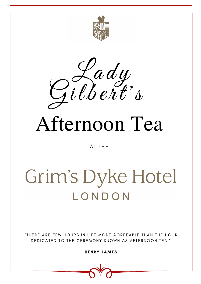



HENRY JAMES



# Afternoon Tea

AT THE

## Grim's Dyke Hotel LONDON

### "THERE ARE FEW HOURS IN LIFE MORE AGREEABLE THAN THE HOUR DEDICATED TO THE CEREMONY KNOWN AS AFTERNOON TEA."